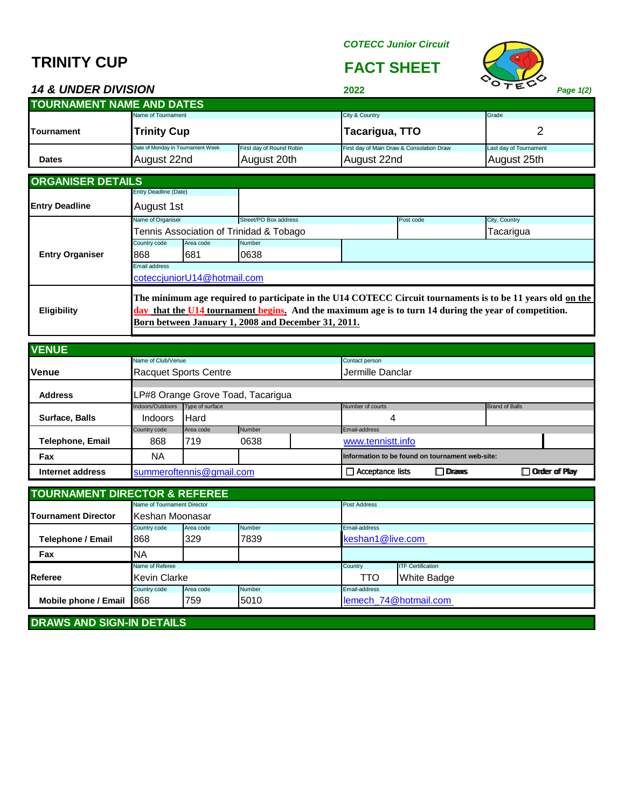# **TRINITY CUP FACT SHEET**

#### *COTECC Junior Circuit*



## *14 & UNDER DIVISION* **2022** *Page 1(2)*

| <b>TOURNAMENT NAME AND DATES</b> |                                   |                          |                                           |                        |  |  |  |
|----------------------------------|-----------------------------------|--------------------------|-------------------------------------------|------------------------|--|--|--|
|                                  | Name of Tournament                |                          | City & Country                            | Grade                  |  |  |  |
| <b>ITournament</b>               | <b>Trinity Cup</b>                |                          | Tacarigua, TTO                            |                        |  |  |  |
|                                  | Date of Monday in Tournament Week | First day of Round Robin | First day of Main Draw & Consolation Draw | Last day of Tournament |  |  |  |
| <b>Dates</b>                     | August 22nd                       | August 20th              | August 22nd                               | August 25th            |  |  |  |

| <b>ORGANISER DETAILS</b> |                       |                             |                                                                                                                                                          |           |                                                                                                            |
|--------------------------|-----------------------|-----------------------------|----------------------------------------------------------------------------------------------------------------------------------------------------------|-----------|------------------------------------------------------------------------------------------------------------|
|                          | Entry Deadline (Date) |                             |                                                                                                                                                          |           |                                                                                                            |
| <b>Entry Deadline</b>    | August 1st            |                             |                                                                                                                                                          |           |                                                                                                            |
|                          | Name of Organiser     |                             | Street/PO Box address                                                                                                                                    | Post code | City, Country                                                                                              |
|                          |                       |                             | Tennis Association of Trinidad & Tobago                                                                                                                  |           | Tacarigua                                                                                                  |
|                          | Country code          | Area code                   | <b>Number</b>                                                                                                                                            |           |                                                                                                            |
| <b>Entry Organiser</b>   | 868                   | 681                         | 0638                                                                                                                                                     |           |                                                                                                            |
|                          | Email address         |                             |                                                                                                                                                          |           |                                                                                                            |
|                          |                       | coteccjuniorU14@hotmail.com |                                                                                                                                                          |           |                                                                                                            |
| <b>Eligibility</b>       |                       |                             | that the U14 tournament begins. And the maximum age is to turn 14 during the year of competition.<br>Born between January 1, 2008 and December 31, 2011. |           | The minimum age required to participate in the U14 COTECC Circuit tournaments is to be 11 years old on the |

| <b>VENUE</b>     |                    |                                   |        |                  |                                                 |                 |                       |               |
|------------------|--------------------|-----------------------------------|--------|------------------|-------------------------------------------------|-----------------|-----------------------|---------------|
|                  | Name of Club/Venue |                                   |        |                  | Contact person                                  |                 |                       |               |
| <b>Venue</b>     |                    | <b>Racquet Sports Centre</b>      |        | Jermille Danclar |                                                 |                 |                       |               |
| <b>Address</b>   |                    | LP#8 Orange Grove Toad, Tacarigua |        |                  |                                                 |                 |                       |               |
|                  | Indoors/Outdoors   | Type of surface                   |        |                  | Number of courts                                |                 | <b>Brand of Balls</b> |               |
| Surface, Balls   | <b>Indoors</b>     | <b>Hard</b>                       |        |                  | 4                                               |                 |                       |               |
|                  | Country code       | Area code                         | Number |                  | Email-address                                   |                 |                       |               |
| Telephone, Email | 868                | 719                               | 0638   |                  | www.tennistt.info                               |                 |                       |               |
| Fax              | ΝA                 |                                   |        |                  | Information to be found on tournament web-site: |                 |                       |               |
| Internet address |                    | summeroftennis@gmail.com          |        |                  | $\Box$ Acceptance lists                         | <b>ID</b> Draws |                       | Order of Play |

| <b>TOURNAMENT DIRECTOR &amp; REFEREE</b> |                             |           |                         |                       |                          |  |  |
|------------------------------------------|-----------------------------|-----------|-------------------------|-----------------------|--------------------------|--|--|
|                                          | Name of Tournament Director |           |                         | Post Address          |                          |  |  |
| <b>Tournament Director</b>               | Keshan Moonasar             |           |                         |                       |                          |  |  |
|                                          | Country code                | Area code | Number<br>Email-address |                       |                          |  |  |
| Telephone / Email                        | 868                         | 329       | 7839                    | keshan1@live.com      |                          |  |  |
| Fax                                      | <b>NA</b>                   |           |                         |                       |                          |  |  |
|                                          | Name of Referee             |           |                         | Country               | <b>ITF Certification</b> |  |  |
| <b>Referee</b>                           | <b>Kevin Clarke</b>         |           |                         | TTO                   | <b>White Badge</b>       |  |  |
|                                          | Country code                | Area code | Number                  | Email-address         |                          |  |  |
| Mobile phone / Email                     | 868                         | 759       | 5010                    | lemech 74@hotmail.com |                          |  |  |

**DRAWS AND SIGN-IN DETAILS**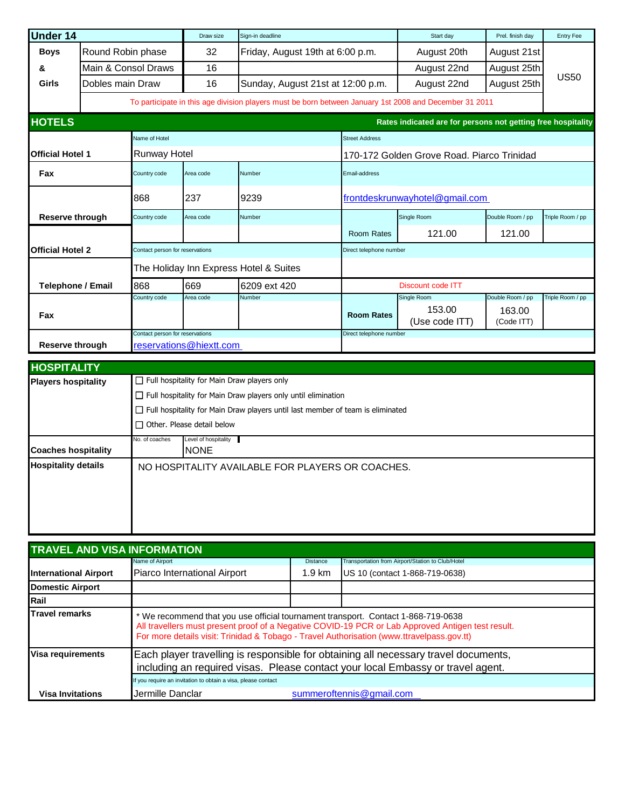| <b>Under 14</b>         |                                                                                                                                                                                                                                                                                        |                                 | Draw size                                                  | Sign-in deadline                                                                                       |                                | Start day                                                    | Prel. finish day                         | <b>Entry Fee</b> |
|-------------------------|----------------------------------------------------------------------------------------------------------------------------------------------------------------------------------------------------------------------------------------------------------------------------------------|---------------------------------|------------------------------------------------------------|--------------------------------------------------------------------------------------------------------|--------------------------------|--------------------------------------------------------------|------------------------------------------|------------------|
| <b>Boys</b>             | Round Robin phase                                                                                                                                                                                                                                                                      |                                 | 32                                                         | Friday, August 19th at 6:00 p.m.                                                                       |                                | August 20th                                                  | August 21st                              |                  |
| &                       |                                                                                                                                                                                                                                                                                        | Main & Consol Draws             | 16                                                         |                                                                                                        |                                | August 22nd                                                  | August 25th                              |                  |
| Girls                   | Dobles main Draw                                                                                                                                                                                                                                                                       |                                 | 16                                                         | Sunday, August 21st at 12:00 p.m.                                                                      |                                | August 22nd                                                  | August 25th                              | <b>US50</b>      |
|                         |                                                                                                                                                                                                                                                                                        |                                 |                                                            | To participate in this age division players must be born between January 1st 2008 and December 31 2011 |                                |                                                              |                                          |                  |
| <b>HOTELS</b>           |                                                                                                                                                                                                                                                                                        |                                 |                                                            |                                                                                                        |                                | Rates indicated are for persons not getting free hospitality |                                          |                  |
|                         |                                                                                                                                                                                                                                                                                        | Name of Hotel                   |                                                            |                                                                                                        | <b>Street Address</b>          |                                                              |                                          |                  |
| <b>Official Hotel 1</b> |                                                                                                                                                                                                                                                                                        | <b>Runway Hotel</b>             |                                                            |                                                                                                        |                                | 170-172 Golden Grove Road, Piarco Trinidad                   |                                          |                  |
| Fax                     |                                                                                                                                                                                                                                                                                        | Country code                    | Area code                                                  | Number                                                                                                 | Email-address                  |                                                              |                                          |                  |
|                         |                                                                                                                                                                                                                                                                                        | 868                             | 237                                                        | 9239                                                                                                   | frontdeskrunwayhotel@gmail.com |                                                              |                                          |                  |
| Reserve through         |                                                                                                                                                                                                                                                                                        | Country code                    | Area code                                                  | Number                                                                                                 |                                | Single Room                                                  | Double Room / pp                         | Triple Room / pp |
|                         |                                                                                                                                                                                                                                                                                        |                                 |                                                            |                                                                                                        | <b>Room Rates</b>              | 121.00                                                       | 121.00                                   |                  |
| <b>Official Hotel 2</b> |                                                                                                                                                                                                                                                                                        | Contact person for reservations |                                                            |                                                                                                        | Direct telephone number        |                                                              |                                          |                  |
|                         |                                                                                                                                                                                                                                                                                        |                                 |                                                            | The Holiday Inn Express Hotel & Suites                                                                 |                                |                                                              |                                          |                  |
|                         | Telephone / Email                                                                                                                                                                                                                                                                      | 868                             | 669                                                        | 6209 ext 420                                                                                           |                                | Discount code ITT                                            |                                          |                  |
| Fax                     |                                                                                                                                                                                                                                                                                        | Country code                    | Area code                                                  | Number                                                                                                 | <b>Room Rates</b>              | Single Room<br>153.00<br>(Use code ITT)                      | Double Room / pp<br>163.00<br>(Code ITT) | Triple Room / pp |
| <b>Reserve through</b>  |                                                                                                                                                                                                                                                                                        |                                 | Contact person for reservations<br>reservations@hiextt.com |                                                                                                        | Direct telephone number        |                                                              |                                          |                  |
| <b>HOSPITALITY</b>      |                                                                                                                                                                                                                                                                                        |                                 |                                                            |                                                                                                        |                                |                                                              |                                          |                  |
|                         | $\Box$ Full hospitality for Main Draw players only<br><b>Players hospitality</b><br>$\Box$ Full hospitality for Main Draw players only until elimination<br>$\Box$ Full hospitality for Main Draw players until last member of team is eliminated<br>$\Box$ Other. Please detail below |                                 |                                                            |                                                                                                        |                                |                                                              |                                          |                  |
|                         | Level of hospitality<br>No. of coaches                                                                                                                                                                                                                                                 |                                 |                                                            |                                                                                                        |                                |                                                              |                                          |                  |

|                            | No. of coaches | Level of hospitality                             |
|----------------------------|----------------|--------------------------------------------------|
| <b>Coaches hospitality</b> |                | <b>NONE</b>                                      |
| <b>Hospitality details</b> |                | NO HOSPITALITY AVAILABLE FOR PLAYERS OR COACHES. |
|                            |                |                                                  |

| <b>TRAVEL AND VISA INFORMATION</b> |                                                                                                                                                                              |                                                                                                                                                                        |                                                                                                   |  |  |  |  |  |
|------------------------------------|------------------------------------------------------------------------------------------------------------------------------------------------------------------------------|------------------------------------------------------------------------------------------------------------------------------------------------------------------------|---------------------------------------------------------------------------------------------------|--|--|--|--|--|
|                                    | Name of Airport                                                                                                                                                              | <b>Distance</b>                                                                                                                                                        | Transportation from Airport/Station to Club/Hotel                                                 |  |  |  |  |  |
| <b>International Airport</b>       | Piarco International Airport                                                                                                                                                 | $1.9 \text{ km}$                                                                                                                                                       | US 10 (contact 1-868-719-0638)                                                                    |  |  |  |  |  |
| <b>Domestic Airport</b>            |                                                                                                                                                                              |                                                                                                                                                                        |                                                                                                   |  |  |  |  |  |
| Rail                               |                                                                                                                                                                              |                                                                                                                                                                        |                                                                                                   |  |  |  |  |  |
| Travel remarks                     | We recommend that you use official tournament transport. Contact 1-868-719-0638<br>For more details visit: Trinidad & Tobago - Travel Authorisation (www.ttravelpass.gov.tt) |                                                                                                                                                                        | All travellers must present proof of a Negative COVID-19 PCR or Lab Approved Antigen test result. |  |  |  |  |  |
| Visa requirements                  |                                                                                                                                                                              | Each player travelling is responsible for obtaining all necessary travel documents,<br>including an required visas. Please contact your local Embassy or travel agent. |                                                                                                   |  |  |  |  |  |
|                                    | If you require an invitation to obtain a visa, please contact                                                                                                                |                                                                                                                                                                        |                                                                                                   |  |  |  |  |  |
| <b>Visa Invitations</b>            | Jermille Danclar                                                                                                                                                             |                                                                                                                                                                        | summeroftennis@gmail.com                                                                          |  |  |  |  |  |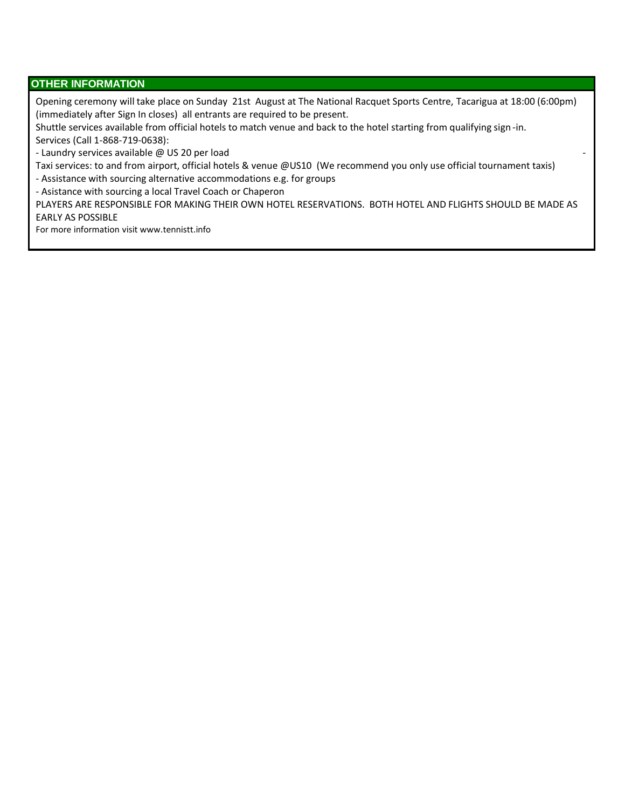### **OTHER INFORMATION**

Opening ceremony will take place on Sunday 21st August at The National Racquet Sports Centre, Tacarigua at 18:00 (6:00pm) (immediately after Sign In closes) all entrants are required to be present.

Shuttle services available from official hotels to match venue and back to the hotel starting from qualifying sign -in. Services (Call 1-868-719-0638):

- Laundry services available @ US 20 per load -

Taxi services: to and from airport, official hotels & venue @US10 (We recommend you only use official tournament taxis)

- Assistance with sourcing alternative accommodations e.g. for groups

- Asistance with sourcing a local Travel Coach or Chaperon

PLAYERS ARE RESPONSIBLE FOR MAKING THEIR OWN HOTEL RESERVATIONS. BOTH HOTEL AND FLIGHTS SHOULD BE MADE AS EARLY AS POSSIBLE

For more information visit www.tennistt.info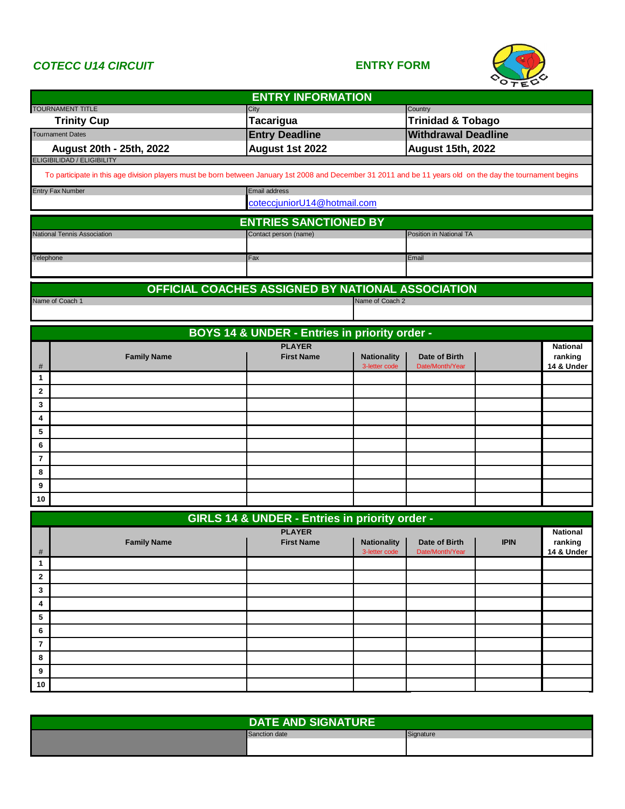## *COTECC U14 CIRCUIT* **ENTRY FORM**



|                                                                                                                                                             | <b>ENTRY INFORMATION</b>                          |                                     |                                  |             |                            |
|-------------------------------------------------------------------------------------------------------------------------------------------------------------|---------------------------------------------------|-------------------------------------|----------------------------------|-------------|----------------------------|
| <b>TOURNAMENT TITLE</b>                                                                                                                                     | City                                              |                                     | Country                          |             |                            |
| <b>Trinity Cup</b>                                                                                                                                          | <b>Tacarigua</b>                                  |                                     | <b>Trinidad &amp; Tobago</b>     |             |                            |
| <b>Tournament Dates</b>                                                                                                                                     | <b>Entry Deadline</b>                             |                                     | <b>Withdrawal Deadline</b>       |             |                            |
| August 20th - 25th, 2022<br><b>ELIGIBILIDAD / ELIGIBILITY</b>                                                                                               | August 1st 2022                                   |                                     | <b>August 15th, 2022</b>         |             |                            |
|                                                                                                                                                             |                                                   |                                     |                                  |             |                            |
| To participate in this age division players must be born between January 1st 2008 and December 31 2011 and be 11 years old on the day the tournament begins |                                                   |                                     |                                  |             |                            |
| <b>Entry Fax Number</b>                                                                                                                                     | <b>Email address</b>                              |                                     |                                  |             |                            |
|                                                                                                                                                             | coteccjuniorU14@hotmail.com                       |                                     |                                  |             |                            |
|                                                                                                                                                             | <b>ENTRIES SANCTIONED BY</b>                      |                                     |                                  |             |                            |
| <b>National Tennis Association</b>                                                                                                                          | Contact person (name)                             |                                     | Position in National TA          |             |                            |
| Telephone                                                                                                                                                   | Fax                                               |                                     | Email                            |             |                            |
|                                                                                                                                                             |                                                   |                                     |                                  |             |                            |
|                                                                                                                                                             |                                                   |                                     |                                  |             |                            |
| Name of Coach 1                                                                                                                                             | OFFICIAL COACHES ASSIGNED BY NATIONAL ASSOCIATION | Name of Coach 2                     |                                  |             |                            |
|                                                                                                                                                             |                                                   |                                     |                                  |             |                            |
|                                                                                                                                                             |                                                   |                                     |                                  |             |                            |
|                                                                                                                                                             | BOYS 14 & UNDER - Entries in priority order -     |                                     |                                  |             |                            |
| <b>Family Name</b>                                                                                                                                          | <b>PLAYER</b><br><b>First Name</b>                | <b>Nationality</b>                  | Date of Birth                    |             | <b>National</b><br>ranking |
| #                                                                                                                                                           |                                                   | 3-letter code                       | Date/Month/Year                  |             | 14 & Under                 |
| 1                                                                                                                                                           |                                                   |                                     |                                  |             |                            |
| 2                                                                                                                                                           |                                                   |                                     |                                  |             |                            |
| 3                                                                                                                                                           |                                                   |                                     |                                  |             |                            |
| 4                                                                                                                                                           |                                                   |                                     |                                  |             |                            |
| 5                                                                                                                                                           |                                                   |                                     |                                  |             |                            |
| 6                                                                                                                                                           |                                                   |                                     |                                  |             |                            |
| $\overline{7}$                                                                                                                                              |                                                   |                                     |                                  |             |                            |
| 8                                                                                                                                                           |                                                   |                                     |                                  |             |                            |
| 9                                                                                                                                                           |                                                   |                                     |                                  |             |                            |
| 10                                                                                                                                                          |                                                   |                                     |                                  |             |                            |
|                                                                                                                                                             | GIRLS 14 & UNDER - Entries in priority order -    |                                     |                                  |             |                            |
|                                                                                                                                                             | <b>PLAYER</b>                                     |                                     |                                  |             | National                   |
| <b>Family Name</b><br>#                                                                                                                                     | <b>First Name</b>                                 | <b>Nationality</b><br>3-letter code | Date of Birth<br>Date/Month/Year | <b>IPIN</b> | ranking<br>14 & Under      |
| $\mathbf{1}$                                                                                                                                                |                                                   |                                     |                                  |             |                            |
| $\overline{\mathbf{2}}$                                                                                                                                     |                                                   |                                     |                                  |             |                            |
| 3                                                                                                                                                           |                                                   |                                     |                                  |             |                            |
| 4                                                                                                                                                           |                                                   |                                     |                                  |             |                            |
| 5                                                                                                                                                           |                                                   |                                     |                                  |             |                            |
| 6                                                                                                                                                           |                                                   |                                     |                                  |             |                            |
| $\overline{7}$                                                                                                                                              |                                                   |                                     |                                  |             |                            |
| 8                                                                                                                                                           |                                                   |                                     |                                  |             |                            |
| 9                                                                                                                                                           |                                                   |                                     |                                  |             |                            |
| 10                                                                                                                                                          |                                                   |                                     |                                  |             |                            |

| <b>DATE AND SIGNATURE</b> |               |           |  |  |
|---------------------------|---------------|-----------|--|--|
|                           | Sanction date | Signature |  |  |
|                           |               |           |  |  |